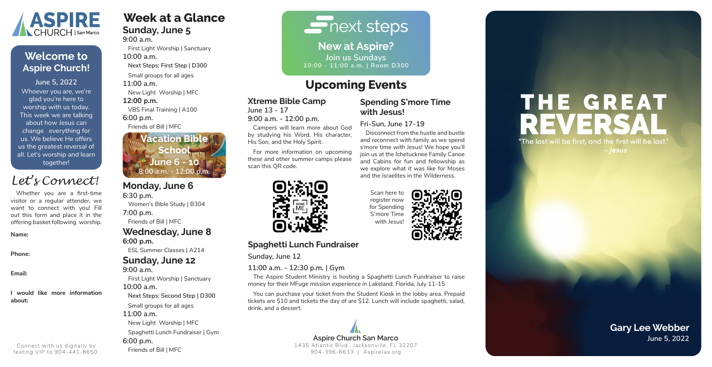# **Week at a Glance Sunday, June 5**

**9:00 a.m.**

First Light Worship | Sanctuary **10:00 a.m.**

**Next Steps: First Step | D300**

Small groups for all ages

**11:00 a.m.**

New Light Worship | MFC

**12:00 p.m.** 

VBS Final Training | A100

**6:00 p.m.**

Friends of Bill | MFC

# **Monday, June 6**

**6:30 p.m.**

Women's Bible Study | B304 **7:00 p.m.**

Friends of Bill | MFC

#### **Wednesday, June 8 6:00 p.m.**

ESL Summer Classes | A214

### **Sunday, June 12**

**9:00 a.m.** First Light Worship | Sanctuary **10:00 a.m. Next Steps: Second Step | D300** Small groups for all ages **11:00 a.m.**

New Light Worship | MFC Spaghetti Lunch Fundraiser | Gym **6:00 p.m.** Friends of Bill | MFC

# $\overline{\blacksquare}$  next steps

### **Xtreme Bible Camp**

**June 13 - 17**

**9:00 a.m. - 12:00 p.m.**

Campers will learn more about God by studying his Word, His character, His Son, and the Holy Spirit.

For more information on upcoming these and other summer camps please scan this QR code.



**Spending S'more Time** 

**with Jesus!**

**Fri-Sun, June 17-19**

Disconnect from the hustle and bustle and reconnect with family as we spend s'more time with Jesus! We hope you'll join us at the Ichetucknee Family Canoe and Cabins for fun and fellowship as we explore what it was like for Moses and the Israelites in the Wilderness.

### **Spaghetti Lunch Fundraiser**

**Sunday, June 12**

#### **11:00 a.m. - 12:30 p.m. | Gym**

The Aspire Student Ministry is hosting a Spaghetti Lunch Fundraiser to raise money for their MFuge mission experience in Lakeland, Florida, July 11-15.

You can purchase your ticket from the Student Kiosk in the lobby area. Prepaid tickets are \$10 and tickets the day of are \$12. Lunch will include spaghetti, salad, drink, and a dessert.

**New at Aspire? Join us Sundays 10:00 - 11:00 a.m. | Room D300**

Whoever you are, we're glad you're here to worship with us today. This week we are talking about how Jesus can change everything for us. We believe He offers us the greatest reversal of all. Let's worship and learn together! **June 5, 2022**



# **Welcome to Aspire Church!**

**Gary Lee Webber**

**Aspire Church San Marco June 5, 2022** 1435 Atlantic Blvd., Jacksonville, FL 32207 904-396-6633 | AspireJax.org

# **THE GREAT** ER "The last will be first, and the first will be last." - Jesus

Whether you are a first-time visitor or a regular attender, we want to connect with you! Fill out this form and place it in the offering basket following worship.

#### **Name:**

**Phone:**

**Email:**

#### **I would like more information about:**

# *Let's Connect!*

Connect with us digitally by texting VIP to 904-441-8650.

# **Upcoming Events**

Scan here to register now for Spending S'more Time with Jesus!